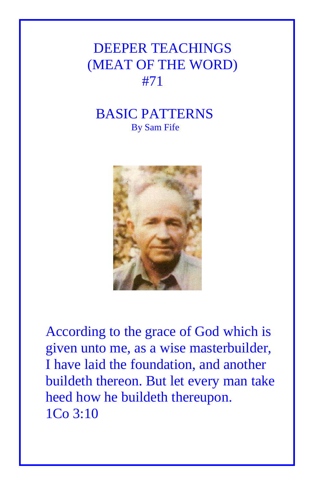## DEEPER TEACHINGS (MEAT OF THE WORD) #71

## BASIC PATTERNS By Sam Fife



According to the grace of God which is given unto me, as a wise masterbuilder, I have laid the foundation, and another buildeth thereon. But let every man take heed how he buildeth thereupon. 1Co 3:10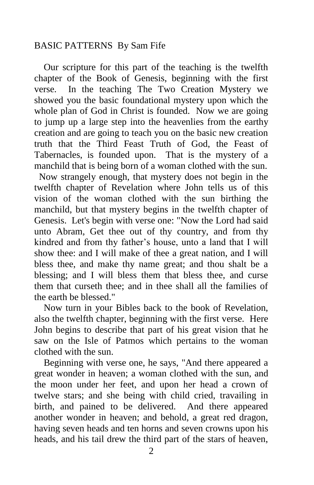## BASIC PATTERNS By Sam Fife

 Our scripture for this part of the teaching is the twelfth chapter of the Book of Genesis, beginning with the first verse. In the teaching The Two Creation Mystery we showed you the basic foundational mystery upon which the whole plan of God in Christ is founded. Now we are going to jump up a large step into the heavenlies from the earthy creation and are going to teach you on the basic new creation truth that the Third Feast Truth of God, the Feast of Tabernacles, is founded upon. That is the mystery of a manchild that is being born of a woman clothed with the sun.

 Now strangely enough, that mystery does not begin in the twelfth chapter of Revelation where John tells us of this vision of the woman clothed with the sun birthing the manchild, but that mystery begins in the twelfth chapter of Genesis. Let's begin with verse one: "Now the Lord had said unto Abram, Get thee out of thy country, and from thy kindred and from thy father's house, unto a land that I will show thee: and I will make of thee a great nation, and I will bless thee, and make thy name great; and thou shalt be a blessing; and I will bless them that bless thee, and curse them that curseth thee; and in thee shall all the families of the earth be blessed."

 Now turn in your Bibles back to the book of Revelation, also the twelfth chapter, beginning with the first verse. Here John begins to describe that part of his great vision that he saw on the Isle of Patmos which pertains to the woman clothed with the sun.

 Beginning with verse one, he says, "And there appeared a great wonder in heaven; a woman clothed with the sun, and the moon under her feet, and upon her head a crown of twelve stars; and she being with child cried, travailing in birth, and pained to be delivered. And there appeared another wonder in heaven; and behold, a great red dragon, having seven heads and ten horns and seven crowns upon his heads, and his tail drew the third part of the stars of heaven,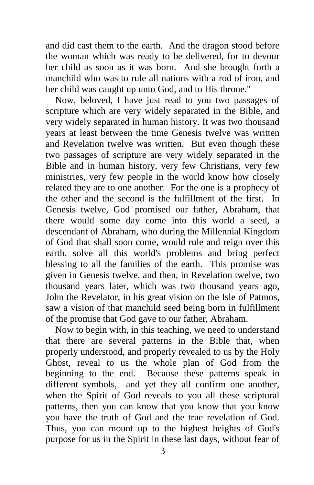and did cast them to the earth. And the dragon stood before the woman which was ready to be delivered, for to devour her child as soon as it was born. And she brought forth a manchild who was to rule all nations with a rod of iron, and her child was caught up unto God, and to His throne."

 Now, beloved, I have just read to you two passages of scripture which are very widely separated in the Bible, and very widely separated in human history. It was two thousand years at least between the time Genesis twelve was written and Revelation twelve was written. But even though these two passages of scripture are very widely separated in the Bible and in human history, very few Christians, very few ministries, very few people in the world know how closely related they are to one another. For the one is a prophecy of the other and the second is the fulfillment of the first. In Genesis twelve, God promised our father, Abraham, that there would some day come into this world a seed, a descendant of Abraham, who during the Millennial Kingdom of God that shall soon come, would rule and reign over this earth, solve all this world's problems and bring perfect blessing to all the families of the earth. This promise was given in Genesis twelve, and then, in Revelation twelve, two thousand years later, which was two thousand years ago, John the Revelator, in his great vision on the Isle of Patmos, saw a vision of that manchild seed being born in fulfillment of the promise that God gave to our father, Abraham.

 Now to begin with, in this teaching, we need to understand that there are several patterns in the Bible that, when properly understood, and properly revealed to us by the Holy Ghost, reveal to us the whole plan of God from the beginning to the end. Because these patterns speak in different symbols, and yet they all confirm one another, when the Spirit of God reveals to you all these scriptural patterns, then you can know that you know that you know you have the truth of God and the true revelation of God. Thus, you can mount up to the highest heights of God's purpose for us in the Spirit in these last days, without fear of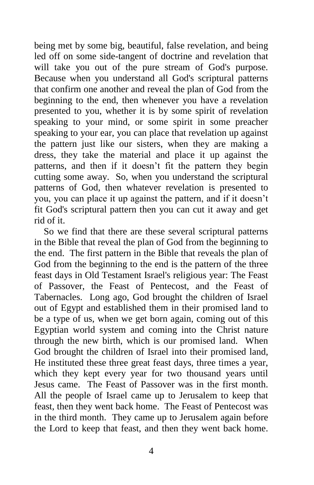being met by some big, beautiful, false revelation, and being led off on some side-tangent of doctrine and revelation that will take you out of the pure stream of God's purpose. Because when you understand all God's scriptural patterns that confirm one another and reveal the plan of God from the beginning to the end, then whenever you have a revelation presented to you, whether it is by some spirit of revelation speaking to your mind, or some spirit in some preacher speaking to your ear, you can place that revelation up against the pattern just like our sisters, when they are making a dress, they take the material and place it up against the patterns, and then if it doesn't fit the pattern they begin cutting some away. So, when you understand the scriptural patterns of God, then whatever revelation is presented to you, you can place it up against the pattern, and if it doesn't fit God's scriptural pattern then you can cut it away and get rid of it.

 So we find that there are these several scriptural patterns in the Bible that reveal the plan of God from the beginning to the end. The first pattern in the Bible that reveals the plan of God from the beginning to the end is the pattern of the three feast days in Old Testament Israel's religious year: The Feast of Passover, the Feast of Pentecost, and the Feast of Tabernacles. Long ago, God brought the children of Israel out of Egypt and established them in their promised land to be a type of us, when we get born again, coming out of this Egyptian world system and coming into the Christ nature through the new birth, which is our promised land. When God brought the children of Israel into their promised land, He instituted these three great feast days, three times a year, which they kept every year for two thousand years until Jesus came. The Feast of Passover was in the first month. All the people of Israel came up to Jerusalem to keep that feast, then they went back home. The Feast of Pentecost was in the third month. They came up to Jerusalem again before the Lord to keep that feast, and then they went back home.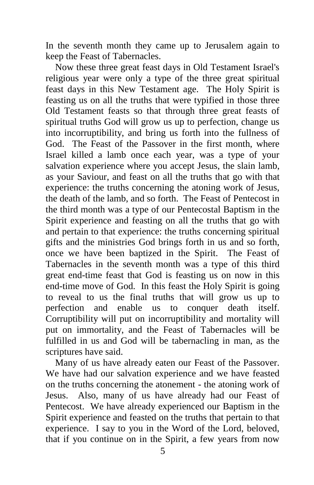In the seventh month they came up to Jerusalem again to keep the Feast of Tabernacles.

 Now these three great feast days in Old Testament Israel's religious year were only a type of the three great spiritual feast days in this New Testament age. The Holy Spirit is feasting us on all the truths that were typified in those three Old Testament feasts so that through three great feasts of spiritual truths God will grow us up to perfection, change us into incorruptibility, and bring us forth into the fullness of God. The Feast of the Passover in the first month, where Israel killed a lamb once each year, was a type of your salvation experience where you accept Jesus, the slain lamb, as your Saviour, and feast on all the truths that go with that experience: the truths concerning the atoning work of Jesus, the death of the lamb, and so forth. The Feast of Pentecost in the third month was a type of our Pentecostal Baptism in the Spirit experience and feasting on all the truths that go with and pertain to that experience: the truths concerning spiritual gifts and the ministries God brings forth in us and so forth, once we have been baptized in the Spirit. The Feast of Tabernacles in the seventh month was a type of this third great end-time feast that God is feasting us on now in this end-time move of God. In this feast the Holy Spirit is going to reveal to us the final truths that will grow us up to perfection and enable us to conquer death itself. Corruptibility will put on incorruptibility and mortality will put on immortality, and the Feast of Tabernacles will be fulfilled in us and God will be tabernacling in man, as the scriptures have said.

 Many of us have already eaten our Feast of the Passover. We have had our salvation experience and we have feasted on the truths concerning the atonement - the atoning work of Jesus. Also, many of us have already had our Feast of Pentecost. We have already experienced our Baptism in the Spirit experience and feasted on the truths that pertain to that experience. I say to you in the Word of the Lord, beloved, that if you continue on in the Spirit, a few years from now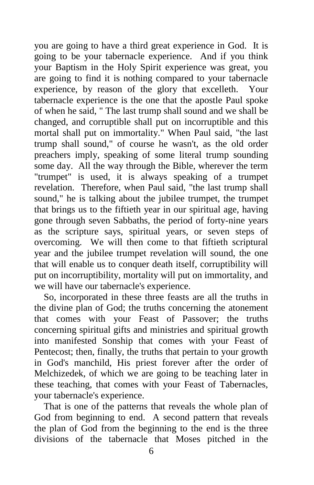you are going to have a third great experience in God. It is going to be your tabernacle experience. And if you think your Baptism in the Holy Spirit experience was great, you are going to find it is nothing compared to your tabernacle experience, by reason of the glory that excelleth. Your tabernacle experience is the one that the apostle Paul spoke of when he said, " The last trump shall sound and we shall be changed, and corruptible shall put on incorruptible and this mortal shall put on immortality." When Paul said, "the last trump shall sound," of course he wasn't, as the old order preachers imply, speaking of some literal trump sounding some day. All the way through the Bible, wherever the term "trumpet" is used, it is always speaking of a trumpet revelation. Therefore, when Paul said, "the last trump shall sound," he is talking about the jubilee trumpet, the trumpet that brings us to the fiftieth year in our spiritual age, having gone through seven Sabbaths, the period of forty-nine years as the scripture says, spiritual years, or seven steps of overcoming. We will then come to that fiftieth scriptural year and the jubilee trumpet revelation will sound, the one that will enable us to conquer death itself, corruptibility will put on incorruptibility, mortality will put on immortality, and we will have our tabernacle's experience.

 So, incorporated in these three feasts are all the truths in the divine plan of God; the truths concerning the atonement that comes with your Feast of Passover; the truths concerning spiritual gifts and ministries and spiritual growth into manifested Sonship that comes with your Feast of Pentecost; then, finally, the truths that pertain to your growth in God's manchild, His priest forever after the order of Melchizedek, of which we are going to be teaching later in these teaching, that comes with your Feast of Tabernacles, your tabernacle's experience.

 That is one of the patterns that reveals the whole plan of God from beginning to end. A second pattern that reveals the plan of God from the beginning to the end is the three divisions of the tabernacle that Moses pitched in the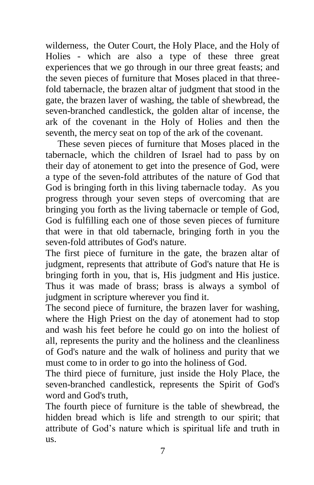wilderness, the Outer Court, the Holy Place, and the Holy of Holies - which are also a type of these three great experiences that we go through in our three great feasts; and the seven pieces of furniture that Moses placed in that threefold tabernacle, the brazen altar of judgment that stood in the gate, the brazen laver of washing, the table of shewbread, the seven-branched candlestick, the golden altar of incense, the ark of the covenant in the Holy of Holies and then the seventh, the mercy seat on top of the ark of the covenant.

 These seven pieces of furniture that Moses placed in the tabernacle, which the children of Israel had to pass by on their day of atonement to get into the presence of God, were a type of the seven-fold attributes of the nature of God that God is bringing forth in this living tabernacle today. As you progress through your seven steps of overcoming that are bringing you forth as the living tabernacle or temple of God, God is fulfilling each one of those seven pieces of furniture that were in that old tabernacle, bringing forth in you the seven-fold attributes of God's nature.

The first piece of furniture in the gate, the brazen altar of judgment, represents that attribute of God's nature that He is bringing forth in you, that is, His judgment and His justice. Thus it was made of brass; brass is always a symbol of judgment in scripture wherever you find it.

The second piece of furniture, the brazen laver for washing, where the High Priest on the day of atonement had to stop and wash his feet before he could go on into the holiest of all, represents the purity and the holiness and the cleanliness of God's nature and the walk of holiness and purity that we must come to in order to go into the holiness of God.

The third piece of furniture, just inside the Holy Place, the seven-branched candlestick, represents the Spirit of God's word and God's truth,

The fourth piece of furniture is the table of shewbread, the hidden bread which is life and strength to our spirit; that attribute of God's nature which is spiritual life and truth in us.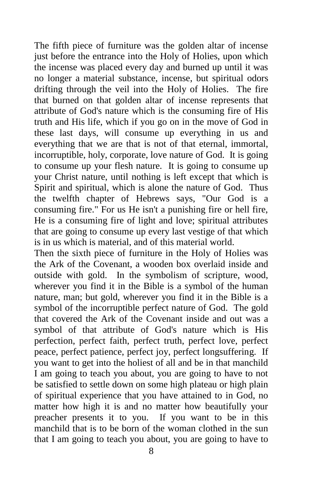The fifth piece of furniture was the golden altar of incense just before the entrance into the Holy of Holies, upon which the incense was placed every day and burned up until it was no longer a material substance, incense, but spiritual odors drifting through the veil into the Holy of Holies. The fire that burned on that golden altar of incense represents that attribute of God's nature which is the consuming fire of His truth and His life, which if you go on in the move of God in these last days, will consume up everything in us and everything that we are that is not of that eternal, immortal, incorruptible, holy, corporate, love nature of God. It is going to consume up your flesh nature. It is going to consume up your Christ nature, until nothing is left except that which is Spirit and spiritual, which is alone the nature of God. Thus the twelfth chapter of Hebrews says, "Our God is a consuming fire." For us He isn't a punishing fire or hell fire, He is a consuming fire of light and love; spiritual attributes that are going to consume up every last vestige of that which is in us which is material, and of this material world.

Then the sixth piece of furniture in the Holy of Holies was the Ark of the Covenant, a wooden box overlaid inside and outside with gold. In the symbolism of scripture, wood, wherever you find it in the Bible is a symbol of the human nature, man; but gold, wherever you find it in the Bible is a symbol of the incorruptible perfect nature of God. The gold that covered the Ark of the Covenant inside and out was a symbol of that attribute of God's nature which is His perfection, perfect faith, perfect truth, perfect love, perfect peace, perfect patience, perfect joy, perfect longsuffering. If you want to get into the holiest of all and be in that manchild I am going to teach you about, you are going to have to not be satisfied to settle down on some high plateau or high plain of spiritual experience that you have attained to in God, no matter how high it is and no matter how beautifully your preacher presents it to you. If you want to be in this manchild that is to be born of the woman clothed in the sun that I am going to teach you about, you are going to have to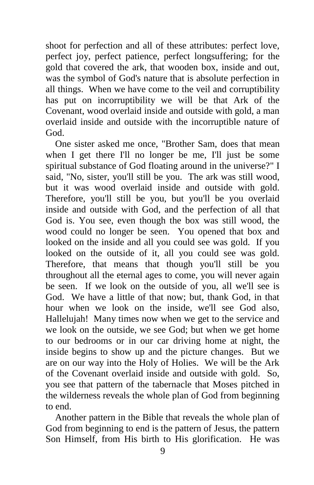shoot for perfection and all of these attributes: perfect love, perfect joy, perfect patience, perfect longsuffering; for the gold that covered the ark, that wooden box, inside and out, was the symbol of God's nature that is absolute perfection in all things. When we have come to the veil and corruptibility has put on incorruptibility we will be that Ark of the Covenant, wood overlaid inside and outside with gold, a man overlaid inside and outside with the incorruptible nature of God.

 One sister asked me once, "Brother Sam, does that mean when I get there I'll no longer be me, I'll just be some spiritual substance of God floating around in the universe?" I said, "No, sister, you'll still be you. The ark was still wood, but it was wood overlaid inside and outside with gold. Therefore, you'll still be you, but you'll be you overlaid inside and outside with God, and the perfection of all that God is. You see, even though the box was still wood, the wood could no longer be seen. You opened that box and looked on the inside and all you could see was gold. If you looked on the outside of it, all you could see was gold. Therefore, that means that though you'll still be you throughout all the eternal ages to come, you will never again be seen. If we look on the outside of you, all we'll see is God. We have a little of that now; but, thank God, in that hour when we look on the inside, we'll see God also, Hallelujah! Many times now when we get to the service and we look on the outside, we see God; but when we get home to our bedrooms or in our car driving home at night, the inside begins to show up and the picture changes. But we are on our way into the Holy of Holies. We will be the Ark of the Covenant overlaid inside and outside with gold. So, you see that pattern of the tabernacle that Moses pitched in the wilderness reveals the whole plan of God from beginning to end.

 Another pattern in the Bible that reveals the whole plan of God from beginning to end is the pattern of Jesus, the pattern Son Himself, from His birth to His glorification. He was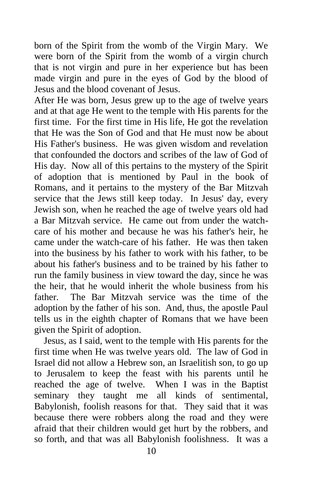born of the Spirit from the womb of the Virgin Mary. We were born of the Spirit from the womb of a virgin church that is not virgin and pure in her experience but has been made virgin and pure in the eyes of God by the blood of Jesus and the blood covenant of Jesus.

After He was born, Jesus grew up to the age of twelve years and at that age He went to the temple with His parents for the first time. For the first time in His life, He got the revelation that He was the Son of God and that He must now be about His Father's business. He was given wisdom and revelation that confounded the doctors and scribes of the law of God of His day. Now all of this pertains to the mystery of the Spirit of adoption that is mentioned by Paul in the book of Romans, and it pertains to the mystery of the Bar Mitzvah service that the Jews still keep today. In Jesus' day, every Jewish son, when he reached the age of twelve years old had a Bar Mitzvah service. He came out from under the watchcare of his mother and because he was his father's heir, he came under the watch-care of his father. He was then taken into the business by his father to work with his father, to be about his father's business and to be trained by his father to run the family business in view toward the day, since he was the heir, that he would inherit the whole business from his father. The Bar Mitzvah service was the time of the adoption by the father of his son. And, thus, the apostle Paul tells us in the eighth chapter of Romans that we have been given the Spirit of adoption.

 Jesus, as I said, went to the temple with His parents for the first time when He was twelve years old. The law of God in Israel did not allow a Hebrew son, an Israelitish son, to go up to Jerusalem to keep the feast with his parents until he reached the age of twelve. When I was in the Baptist seminary they taught me all kinds of sentimental, Babylonish, foolish reasons for that. They said that it was because there were robbers along the road and they were afraid that their children would get hurt by the robbers, and so forth, and that was all Babylonish foolishness. It was a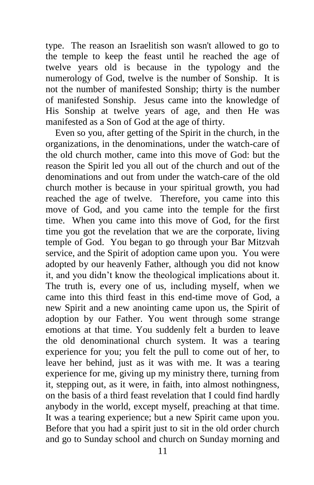type. The reason an Israelitish son wasn't allowed to go to the temple to keep the feast until he reached the age of twelve years old is because in the typology and the numerology of God, twelve is the number of Sonship. It is not the number of manifested Sonship; thirty is the number of manifested Sonship. Jesus came into the knowledge of His Sonship at twelve years of age, and then He was manifested as a Son of God at the age of thirty.

 Even so you, after getting of the Spirit in the church, in the organizations, in the denominations, under the watch-care of the old church mother, came into this move of God: but the reason the Spirit led you all out of the church and out of the denominations and out from under the watch-care of the old church mother is because in your spiritual growth, you had reached the age of twelve. Therefore, you came into this move of God, and you came into the temple for the first time. When you came into this move of God, for the first time you got the revelation that we are the corporate, living temple of God. You began to go through your Bar Mitzvah service, and the Spirit of adoption came upon you. You were adopted by our heavenly Father, although you did not know it, and you didn't know the theological implications about it. The truth is, every one of us, including myself, when we came into this third feast in this end-time move of God, a new Spirit and a new anointing came upon us, the Spirit of adoption by our Father. You went through some strange emotions at that time. You suddenly felt a burden to leave the old denominational church system. It was a tearing experience for you; you felt the pull to come out of her, to leave her behind, just as it was with me. It was a tearing experience for me, giving up my ministry there, turning from it, stepping out, as it were, in faith, into almost nothingness, on the basis of a third feast revelation that I could find hardly anybody in the world, except myself, preaching at that time. It was a tearing experience; but a new Spirit came upon you. Before that you had a spirit just to sit in the old order church and go to Sunday school and church on Sunday morning and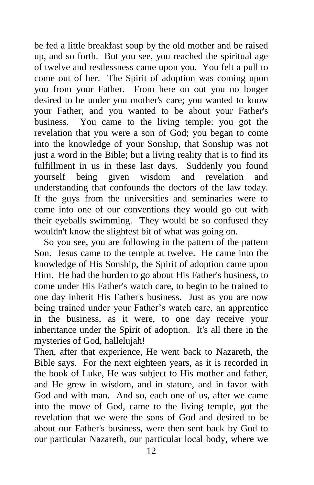be fed a little breakfast soup by the old mother and be raised up, and so forth. But you see, you reached the spiritual age of twelve and restlessness came upon you. You felt a pull to come out of her. The Spirit of adoption was coming upon you from your Father. From here on out you no longer desired to be under you mother's care; you wanted to know your Father, and you wanted to be about your Father's business. You came to the living temple: you got the revelation that you were a son of God; you began to come into the knowledge of your Sonship, that Sonship was not just a word in the Bible; but a living reality that is to find its fulfillment in us in these last days. Suddenly you found yourself being given wisdom and revelation and understanding that confounds the doctors of the law today. If the guys from the universities and seminaries were to come into one of our conventions they would go out with their eyeballs swimming. They would be so confused they wouldn't know the slightest bit of what was going on.

 So you see, you are following in the pattern of the pattern Son. Jesus came to the temple at twelve. He came into the knowledge of His Sonship, the Spirit of adoption came upon Him. He had the burden to go about His Father's business, to come under His Father's watch care, to begin to be trained to one day inherit His Father's business. Just as you are now being trained under your Father's watch care, an apprentice in the business, as it were, to one day receive your inheritance under the Spirit of adoption. It's all there in the mysteries of God, hallelujah!

Then, after that experience, He went back to Nazareth, the Bible says. For the next eighteen years, as it is recorded in the book of Luke, He was subject to His mother and father, and He grew in wisdom, and in stature, and in favor with God and with man. And so, each one of us, after we came into the move of God, came to the living temple, got the revelation that we were the sons of God and desired to be about our Father's business, were then sent back by God to our particular Nazareth, our particular local body, where we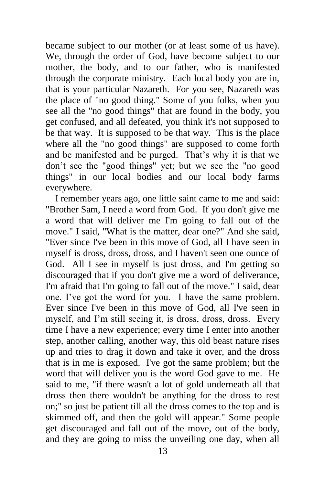became subject to our mother (or at least some of us have). We, through the order of God, have become subject to our mother, the body, and to our father, who is manifested through the corporate ministry. Each local body you are in, that is your particular Nazareth. For you see, Nazareth was the place of "no good thing." Some of you folks, when you see all the "no good things" that are found in the body, you get confused, and all defeated, you think it's not supposed to be that way. It is supposed to be that way. This is the place where all the "no good things" are supposed to come forth and be manifested and be purged. That's why it is that we don't see the "good things" yet; but we see the "no good things" in our local bodies and our local body farms everywhere.

 I remember years ago, one little saint came to me and said: "Brother Sam, I need a word from God. If you don't give me a word that will deliver me I'm going to fall out of the move." I said, "What is the matter, dear one?" And she said, "Ever since I've been in this move of God, all I have seen in myself is dross, dross, dross, and I haven't seen one ounce of God. All I see in myself is just dross, and I'm getting so discouraged that if you don't give me a word of deliverance, I'm afraid that I'm going to fall out of the move." I said, dear one. I've got the word for you. I have the same problem. Ever since I've been in this move of God, all I've seen in myself, and I'm still seeing it, is dross, dross, dross. Every time I have a new experience; every time I enter into another step, another calling, another way, this old beast nature rises up and tries to drag it down and take it over, and the dross that is in me is exposed. I've got the same problem; but the word that will deliver you is the word God gave to me. He said to me, "if there wasn't a lot of gold underneath all that dross then there wouldn't be anything for the dross to rest on;" so just be patient till all the dross comes to the top and is skimmed off, and then the gold will appear." Some people get discouraged and fall out of the move, out of the body, and they are going to miss the unveiling one day, when all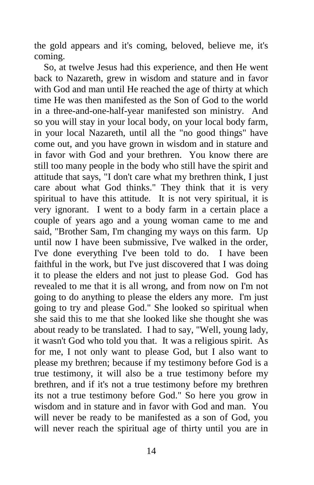the gold appears and it's coming, beloved, believe me, it's coming.

 So, at twelve Jesus had this experience, and then He went back to Nazareth, grew in wisdom and stature and in favor with God and man until He reached the age of thirty at which time He was then manifested as the Son of God to the world in a three-and-one-half-year manifested son ministry. And so you will stay in your local body, on your local body farm, in your local Nazareth, until all the "no good things" have come out, and you have grown in wisdom and in stature and in favor with God and your brethren. You know there are still too many people in the body who still have the spirit and attitude that says, "I don't care what my brethren think, I just care about what God thinks." They think that it is very spiritual to have this attitude. It is not very spiritual, it is very ignorant. I went to a body farm in a certain place a couple of years ago and a young woman came to me and said, "Brother Sam, I'm changing my ways on this farm. Up until now I have been submissive, I've walked in the order, I've done everything I've been told to do. I have been faithful in the work, but I've just discovered that I was doing it to please the elders and not just to please God. God has revealed to me that it is all wrong, and from now on I'm not going to do anything to please the elders any more. I'm just going to try and please God." She looked so spiritual when she said this to me that she looked like she thought she was about ready to be translated. I had to say, "Well, young lady, it wasn't God who told you that. It was a religious spirit. As for me, I not only want to please God, but I also want to please my brethren; because if my testimony before God is a true testimony, it will also be a true testimony before my brethren, and if it's not a true testimony before my brethren its not a true testimony before God." So here you grow in wisdom and in stature and in favor with God and man. You will never be ready to be manifested as a son of God, you will never reach the spiritual age of thirty until you are in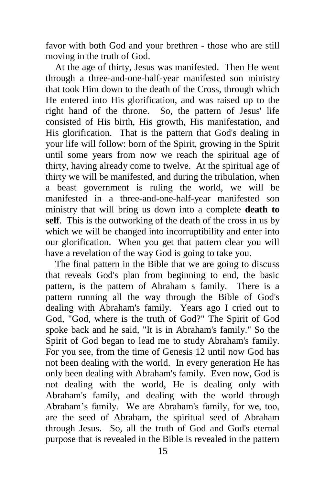favor with both God and your brethren - those who are still moving in the truth of God.

 At the age of thirty, Jesus was manifested. Then He went through a three-and-one-half-year manifested son ministry that took Him down to the death of the Cross, through which He entered into His glorification, and was raised up to the right hand of the throne. So, the pattern of Jesus' life consisted of His birth, His growth, His manifestation, and His glorification. That is the pattern that God's dealing in your life will follow: born of the Spirit, growing in the Spirit until some years from now we reach the spiritual age of thirty, having already come to twelve. At the spiritual age of thirty we will be manifested, and during the tribulation, when a beast government is ruling the world, we will be manifested in a three-and-one-half-year manifested son ministry that will bring us down into a complete **death to self**. This is the outworking of the death of the cross in us by which we will be changed into incorruptibility and enter into our glorification. When you get that pattern clear you will have a revelation of the way God is going to take you.

 The final pattern in the Bible that we are going to discuss that reveals God's plan from beginning to end, the basic pattern, is the pattern of Abraham s family. There is a pattern running all the way through the Bible of God's dealing with Abraham's family. Years ago I cried out to God, "God, where is the truth of God?" The Spirit of God spoke back and he said, "It is in Abraham's family." So the Spirit of God began to lead me to study Abraham's family. For you see, from the time of Genesis 12 until now God has not been dealing with the world. In every generation He has only been dealing with Abraham's family. Even now, God is not dealing with the world, He is dealing only with Abraham's family, and dealing with the world through Abraham's family. We are Abraham's family, for we, too, are the seed of Abraham, the spiritual seed of Abraham through Jesus. So, all the truth of God and God's eternal purpose that is revealed in the Bible is revealed in the pattern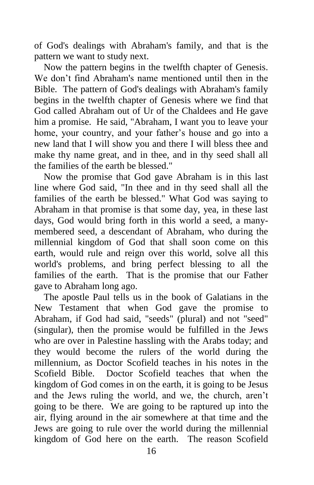of God's dealings with Abraham's family, and that is the pattern we want to study next.

 Now the pattern begins in the twelfth chapter of Genesis. We don't find Abraham's name mentioned until then in the Bible. The pattern of God's dealings with Abraham's family begins in the twelfth chapter of Genesis where we find that God called Abraham out of Ur of the Chaldees and He gave him a promise. He said, "Abraham, I want you to leave your home, your country, and your father's house and go into a new land that I will show you and there I will bless thee and make thy name great, and in thee, and in thy seed shall all the families of the earth be blessed."

 Now the promise that God gave Abraham is in this last line where God said, "In thee and in thy seed shall all the families of the earth be blessed." What God was saying to Abraham in that promise is that some day, yea, in these last days, God would bring forth in this world a seed, a manymembered seed, a descendant of Abraham, who during the millennial kingdom of God that shall soon come on this earth, would rule and reign over this world, solve all this world's problems, and bring perfect blessing to all the families of the earth. That is the promise that our Father gave to Abraham long ago.

 The apostle Paul tells us in the book of Galatians in the New Testament that when God gave the promise to Abraham, if God had said, "seeds" (plural) and not "seed" (singular), then the promise would be fulfilled in the Jews who are over in Palestine hassling with the Arabs today; and they would become the rulers of the world during the millennium, as Doctor Scofield teaches in his notes in the Scofield Bible. Doctor Scofield teaches that when the kingdom of God comes in on the earth, it is going to be Jesus and the Jews ruling the world, and we, the church, aren't going to be there. We are going to be raptured up into the air, flying around in the air somewhere at that time and the Jews are going to rule over the world during the millennial kingdom of God here on the earth. The reason Scofield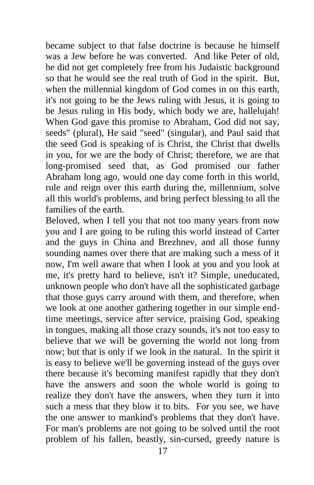became subject to that false doctrine is because he himself was a Jew before he was converted. And like Peter of old, he did not get completely free from his Judaistic background so that he would see the real truth of God in the spirit. But, when the millennial kingdom of God comes in on this earth, it's not going to be the Jews ruling with Jesus, it is going to be Jesus ruling in His body, which body we are, hallelujah! When God gave this promise to Abraham, God did not say, seeds" (plural), He said "seed" (singular), and Paul said that the seed God is speaking of is Christ, the Christ that dwells in you, for we are the body of Christ; therefore, we are that long-promised seed that, as God promised our father Abraham long ago, would one day come forth in this world, rule and reign over this earth during the, millennium, solve all this world's problems, and bring perfect blessing to all the families of the earth.

Beloved, when I tell you that not too many years from now you and I are going to be ruling this world instead of Carter and the guys in China and Brezhnev, and all those funny sounding names over there that are making such a mess of it now, I'm well aware that when I look at you and you look at me, it's pretty hard to believe, isn't it? Simple, uneducated, unknown people who don't have all the sophisticated garbage that those guys carry around with them, and therefore, when we look at one another gathering together in our simple endtime meetings, service after service, praising God, speaking in tongues, making all those crazy sounds, it's not too easy to believe that we will be governing the world not long from now; but that is only if we look in the natural. In the spirit it is easy to believe we'll be governing instead of the guys over there because it's becoming manifest rapidly that they don't have the answers and soon the whole world is going to realize they don't have the answers, when they turn it into such a mess that they blow it to bits. For you see, we have the one answer to mankind's problems that they don't have. For man's problems are not going to be solved until the root problem of his fallen, beastly, sin-cursed, greedy nature is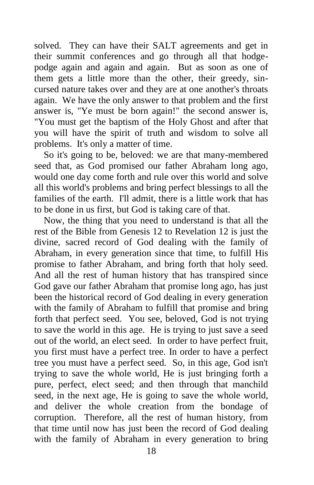solved. They can have their SALT agreements and get in their summit conferences and go through all that hodgepodge again and again and again. But as soon as one of them gets a little more than the other, their greedy, sincursed nature takes over and they are at one another's throats again. We have the only answer to that problem and the first answer is, "Ye must be born again!" the second answer is, "You must get the baptism of the Holy Ghost and after that you will have the spirit of truth and wisdom to solve all problems. It's only a matter of time.

 So it's going to be, beloved: we are that many-membered seed that, as God promised our father Abraham long ago, would one day come forth and rule over this world and solve all this world's problems and bring perfect blessings to all the families of the earth. I'll admit, there is a little work that has to be done in us first, but God is taking care of that.

 Now, the thing that you need to understand is that all the rest of the Bible from Genesis 12 to Revelation 12 is just the divine, sacred record of God dealing with the family of Abraham, in every generation since that time, to fulfill His promise to father Abraham, and bring forth that holy seed. And all the rest of human history that has transpired since God gave our father Abraham that promise long ago, has just been the historical record of God dealing in every generation with the family of Abraham to fulfill that promise and bring forth that perfect seed. You see, beloved, God is not trying to save the world in this age. He is trying to just save a seed out of the world, an elect seed. In order to have perfect fruit, you first must have a perfect tree. In order to have a perfect tree you must have a perfect seed. So, in this age, God isn't trying to save the whole world, He is just bringing forth a pure, perfect, elect seed; and then through that manchild seed, in the next age, He is going to save the whole world, and deliver the whole creation from the bondage of corruption. Therefore, all the rest of human history, from that time until now has just been the record of God dealing with the family of Abraham in every generation to bring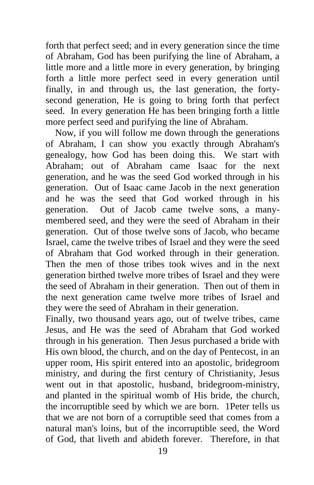forth that perfect seed; and in every generation since the time of Abraham, God has been purifying the line of Abraham, a little more and a little more in every generation, by bringing forth a little more perfect seed in every generation until finally, in and through us, the last generation, the fortysecond generation, He is going to bring forth that perfect seed. In every generation He has been bringing forth a little more perfect seed and purifying the line of Abraham.

 Now, if you will follow me down through the generations of Abraham, I can show you exactly through Abraham's genealogy, how God has been doing this. We start with Abraham; out of Abraham came Isaac for the next generation, and he was the seed God worked through in his generation. Out of Isaac came Jacob in the next generation and he was the seed that God worked through in his generation. Out of Jacob came twelve sons, a manymembered seed, and they were the seed of Abraham in their generation. Out of those twelve sons of Jacob, who became Israel, came the twelve tribes of Israel and they were the seed of Abraham that God worked through in their generation. Then the men of those tribes took wives and in the next generation birthed twelve more tribes of Israel and they were the seed of Abraham in their generation. Then out of them in the next generation came twelve more tribes of Israel and they were the seed of Abraham in their generation.

Finally, two thousand years ago, out of twelve tribes, came Jesus, and He was the seed of Abraham that God worked through in his generation. Then Jesus purchased a bride with His own blood, the church, and on the day of Pentecost, in an upper room, His spirit entered into an apostolic, bridegroom ministry, and during the first century of Christianity, Jesus went out in that apostolic, husband, bridegroom-ministry, and planted in the spiritual womb of His bride, the church, the incorruptible seed by which we are born. 1Peter tells us that we are not born of a corruptible seed that comes from a natural man's loins, but of the incorruptible seed, the Word of God, that liveth and abideth forever. Therefore, in that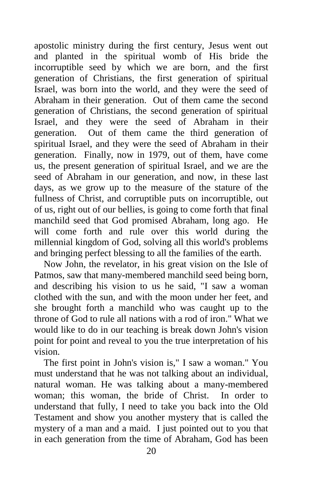apostolic ministry during the first century, Jesus went out and planted in the spiritual womb of His bride the incorruptible seed by which we are born, and the first generation of Christians, the first generation of spiritual Israel, was born into the world, and they were the seed of Abraham in their generation. Out of them came the second generation of Christians, the second generation of spiritual Israel, and they were the seed of Abraham in their generation. Out of them came the third generation of spiritual Israel, and they were the seed of Abraham in their generation. Finally, now in 1979, out of them, have come us, the present generation of spiritual Israel, and we are the seed of Abraham in our generation, and now, in these last days, as we grow up to the measure of the stature of the fullness of Christ, and corruptible puts on incorruptible, out of us, right out of our bellies, is going to come forth that final manchild seed that God promised Abraham, long ago. He will come forth and rule over this world during the millennial kingdom of God, solving all this world's problems and bringing perfect blessing to all the families of the earth.

 Now John, the revelator, in his great vision on the Isle of Patmos, saw that many-membered manchild seed being born, and describing his vision to us he said, "I saw a woman clothed with the sun, and with the moon under her feet, and she brought forth a manchild who was caught up to the throne of God to rule all nations with a rod of iron." What we would like to do in our teaching is break down John's vision point for point and reveal to you the true interpretation of his vision.

 The first point in John's vision is," I saw a woman." You must understand that he was not talking about an individual, natural woman. He was talking about a many-membered woman; this woman, the bride of Christ. In order to understand that fully, I need to take you back into the Old Testament and show you another mystery that is called the mystery of a man and a maid. I just pointed out to you that in each generation from the time of Abraham, God has been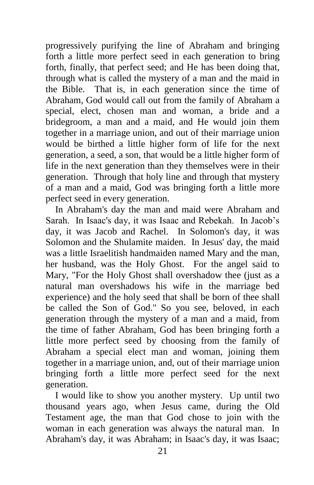progressively purifying the line of Abraham and bringing forth a little more perfect seed in each generation to bring forth, finally, that perfect seed; and He has been doing that, through what is called the mystery of a man and the maid in the Bible. That is, in each generation since the time of Abraham, God would call out from the family of Abraham a special, elect, chosen man and woman, a bride and a bridegroom, a man and a maid, and He would join them together in a marriage union, and out of their marriage union would be birthed a little higher form of life for the next generation, a seed, a son, that would be a little higher form of life in the next generation than they themselves were in their generation. Through that holy line and through that mystery of a man and a maid, God was bringing forth a little more perfect seed in every generation.

 In Abraham's day the man and maid were Abraham and Sarah. In Isaac's day, it was Isaac and Rebekah. In Jacob's day, it was Jacob and Rachel. In Solomon's day, it was Solomon and the Shulamite maiden. In Jesus' day, the maid was a little Israelitish handmaiden named Mary and the man, her husband, was the Holy Ghost. For the angel said to Mary, "For the Holy Ghost shall overshadow thee (just as a natural man overshadows his wife in the marriage bed experience) and the holy seed that shall be born of thee shall be called the Son of God." So you see, beloved, in each generation through the mystery of a man and a maid, from the time of father Abraham, God has been bringing forth a little more perfect seed by choosing from the family of Abraham a special elect man and woman, joining them together in a marriage union, and, out of their marriage union bringing forth a little more perfect seed for the next generation.

 I would like to show you another mystery. Up until two thousand years ago, when Jesus came, during the Old Testament age, the man that God chose to join with the woman in each generation was always the natural man. In Abraham's day, it was Abraham; in Isaac's day, it was Isaac;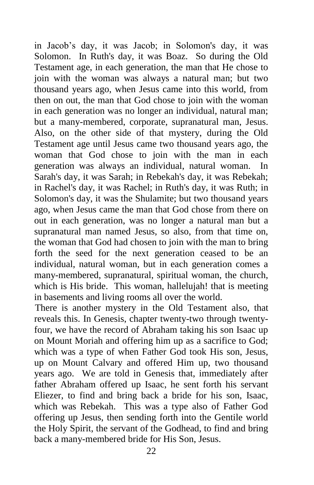in Jacob's day, it was Jacob; in Solomon's day, it was Solomon. In Ruth's day, it was Boaz. So during the Old Testament age, in each generation, the man that He chose to join with the woman was always a natural man; but two thousand years ago, when Jesus came into this world, from then on out, the man that God chose to join with the woman in each generation was no longer an individual, natural man; but a many-membered, corporate, supranatural man, Jesus. Also, on the other side of that mystery, during the Old Testament age until Jesus came two thousand years ago, the woman that God chose to join with the man in each generation was always an individual, natural woman. In Sarah's day, it was Sarah; in Rebekah's day, it was Rebekah; in Rachel's day, it was Rachel; in Ruth's day, it was Ruth; in Solomon's day, it was the Shulamite; but two thousand years ago, when Jesus came the man that God chose from there on out in each generation, was no longer a natural man but a supranatural man named Jesus, so also, from that time on, the woman that God had chosen to join with the man to bring forth the seed for the next generation ceased to be an individual, natural woman, but in each generation comes a many-membered, supranatural, spiritual woman, the church, which is His bride. This woman, hallelujah! that is meeting in basements and living rooms all over the world.

There is another mystery in the Old Testament also, that reveals this. In Genesis, chapter twenty-two through twentyfour, we have the record of Abraham taking his son Isaac up on Mount Moriah and offering him up as a sacrifice to God; which was a type of when Father God took His son, Jesus, up on Mount Calvary and offered Him up, two thousand years ago. We are told in Genesis that, immediately after father Abraham offered up Isaac, he sent forth his servant Eliezer, to find and bring back a bride for his son, Isaac, which was Rebekah. This was a type also of Father God offering up Jesus, then sending forth into the Gentile world the Holy Spirit, the servant of the Godhead, to find and bring back a many-membered bride for His Son, Jesus.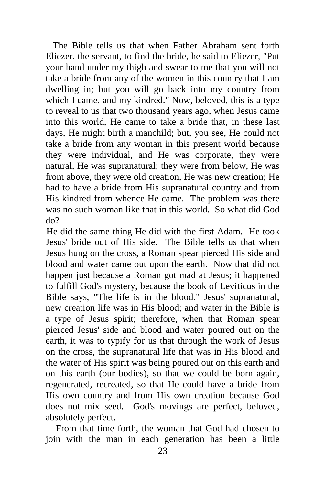The Bible tells us that when Father Abraham sent forth Eliezer, the servant, to find the bride, he said to Eliezer, "Put your hand under my thigh and swear to me that you will not take a bride from any of the women in this country that I am dwelling in; but you will go back into my country from which I came, and my kindred." Now, beloved, this is a type to reveal to us that two thousand years ago, when Jesus came into this world, He came to take a bride that, in these last days, He might birth a manchild; but, you see, He could not take a bride from any woman in this present world because they were individual, and He was corporate, they were natural, He was supranatural; they were from below, He was from above, they were old creation, He was new creation; He had to have a bride from His supranatural country and from His kindred from whence He came. The problem was there was no such woman like that in this world. So what did God do?

He did the same thing He did with the first Adam. He took Jesus' bride out of His side. The Bible tells us that when Jesus hung on the cross, a Roman spear pierced His side and blood and water came out upon the earth. Now that did not happen just because a Roman got mad at Jesus; it happened to fulfill God's mystery, because the book of Leviticus in the Bible says, "The life is in the blood." Jesus' supranatural, new creation life was in His blood; and water in the Bible is a type of Jesus spirit; therefore, when that Roman spear pierced Jesus' side and blood and water poured out on the earth, it was to typify for us that through the work of Jesus on the cross, the supranatural life that was in His blood and the water of His spirit was being poured out on this earth and on this earth (our bodies), so that we could be born again, regenerated, recreated, so that He could have a bride from His own country and from His own creation because God does not mix seed. God's movings are perfect, beloved, absolutely perfect.

 From that time forth, the woman that God had chosen to join with the man in each generation has been a little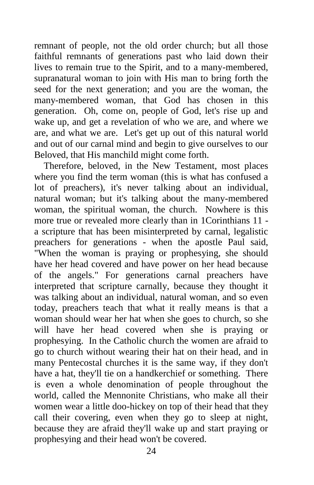remnant of people, not the old order church; but all those faithful remnants of generations past who laid down their lives to remain true to the Spirit, and to a many-membered, supranatural woman to join with His man to bring forth the seed for the next generation; and you are the woman, the many-membered woman, that God has chosen in this generation. Oh, come on, people of God, let's rise up and wake up, and get a revelation of who we are, and where we are, and what we are. Let's get up out of this natural world and out of our carnal mind and begin to give ourselves to our Beloved, that His manchild might come forth.

 Therefore, beloved, in the New Testament, most places where you find the term woman (this is what has confused a lot of preachers), it's never talking about an individual, natural woman; but it's talking about the many-membered woman, the spiritual woman, the church. Nowhere is this more true or revealed more clearly than in 1Corinthians 11 a scripture that has been misinterpreted by carnal, legalistic preachers for generations - when the apostle Paul said, "When the woman is praying or prophesying, she should have her head covered and have power on her head because of the angels." For generations carnal preachers have interpreted that scripture carnally, because they thought it was talking about an individual, natural woman, and so even today, preachers teach that what it really means is that a woman should wear her hat when she goes to church, so she will have her head covered when she is praying or prophesying. In the Catholic church the women are afraid to go to church without wearing their hat on their head, and in many Pentecostal churches it is the same way, if they don't have a hat, they'll tie on a handkerchief or something. There is even a whole denomination of people throughout the world, called the Mennonite Christians, who make all their women wear a little doo-hickey on top of their head that they call their covering, even when they go to sleep at night, because they are afraid they'll wake up and start praying or prophesying and their head won't be covered.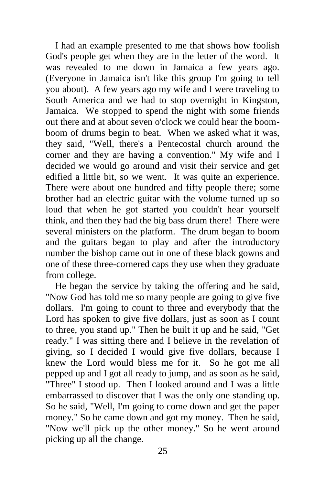I had an example presented to me that shows how foolish God's people get when they are in the letter of the word. It was revealed to me down in Jamaica a few years ago. (Everyone in Jamaica isn't like this group I'm going to tell you about). A few years ago my wife and I were traveling to South America and we had to stop overnight in Kingston, Jamaica. We stopped to spend the night with some friends out there and at about seven o'clock we could hear the boomboom of drums begin to beat. When we asked what it was, they said, "Well, there's a Pentecostal church around the corner and they are having a convention." My wife and I decided we would go around and visit their service and get edified a little bit, so we went. It was quite an experience. There were about one hundred and fifty people there; some brother had an electric guitar with the volume turned up so loud that when he got started you couldn't hear yourself think, and then they had the big bass drum there! There were several ministers on the platform. The drum began to boom and the guitars began to play and after the introductory number the bishop came out in one of these black gowns and one of these three-cornered caps they use when they graduate from college.

 He began the service by taking the offering and he said, "Now God has told me so many people are going to give five dollars. I'm going to count to three and everybody that the Lord has spoken to give five dollars, just as soon as I count to three, you stand up." Then he built it up and he said, "Get ready." I was sitting there and I believe in the revelation of giving, so I decided I would give five dollars, because I knew the Lord would bless me for it. So he got me all pepped up and I got all ready to jump, and as soon as he said, "Three" I stood up. Then I looked around and I was a little embarrassed to discover that I was the only one standing up. So he said, "Well, I'm going to come down and get the paper money." So he came down and got my money. Then he said, "Now we'll pick up the other money." So he went around picking up all the change.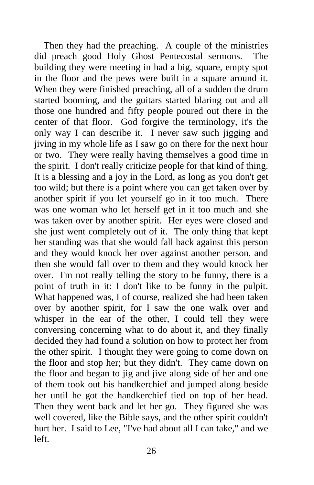Then they had the preaching. A couple of the ministries did preach good Holy Ghost Pentecostal sermons. The building they were meeting in had a big, square, empty spot in the floor and the pews were built in a square around it. When they were finished preaching, all of a sudden the drum started booming, and the guitars started blaring out and all those one hundred and fifty people poured out there in the center of that floor. God forgive the terminology, it's the only way I can describe it. I never saw such jigging and jiving in my whole life as I saw go on there for the next hour or two. They were really having themselves a good time in the spirit. I don't really criticize people for that kind of thing. It is a blessing and a joy in the Lord, as long as you don't get too wild; but there is a point where you can get taken over by another spirit if you let yourself go in it too much. There was one woman who let herself get in it too much and she was taken over by another spirit. Her eyes were closed and she just went completely out of it. The only thing that kept her standing was that she would fall back against this person and they would knock her over against another person, and then she would fall over to them and they would knock her over. I'm not really telling the story to be funny, there is a point of truth in it: I don't like to be funny in the pulpit. What happened was, I of course, realized she had been taken over by another spirit, for I saw the one walk over and whisper in the ear of the other, I could tell they were conversing concerning what to do about it, and they finally decided they had found a solution on how to protect her from the other spirit. I thought they were going to come down on the floor and stop her; but they didn't. They came down on the floor and began to jig and jive along side of her and one of them took out his handkerchief and jumped along beside her until he got the handkerchief tied on top of her head. Then they went back and let her go. They figured she was well covered, like the Bible says, and the other spirit couldn't hurt her. I said to Lee, "I've had about all I can take," and we left.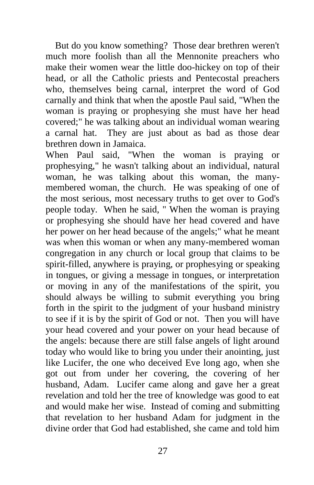But do you know something? Those dear brethren weren't much more foolish than all the Mennonite preachers who make their women wear the little doo-hickey on top of their head, or all the Catholic priests and Pentecostal preachers who, themselves being carnal, interpret the word of God carnally and think that when the apostle Paul said, "When the woman is praying or prophesying she must have her head covered;" he was talking about an individual woman wearing a carnal hat. They are just about as bad as those dear brethren down in Jamaica.

When Paul said, "When the woman is praying or prophesying," he wasn't talking about an individual, natural woman, he was talking about this woman, the manymembered woman, the church. He was speaking of one of the most serious, most necessary truths to get over to God's people today. When he said, " When the woman is praying or prophesying she should have her head covered and have her power on her head because of the angels;" what he meant was when this woman or when any many-membered woman congregation in any church or local group that claims to be spirit-filled, anywhere is praying, or prophesying or speaking in tongues, or giving a message in tongues, or interpretation or moving in any of the manifestations of the spirit, you should always be willing to submit everything you bring forth in the spirit to the judgment of your husband ministry to see if it is by the spirit of God or not. Then you will have your head covered and your power on your head because of the angels: because there are still false angels of light around today who would like to bring you under their anointing, just like Lucifer, the one who deceived Eve long ago, when she got out from under her covering, the covering of her husband, Adam. Lucifer came along and gave her a great revelation and told her the tree of knowledge was good to eat and would make her wise. Instead of coming and submitting that revelation to her husband Adam for judgment in the divine order that God had established, she came and told him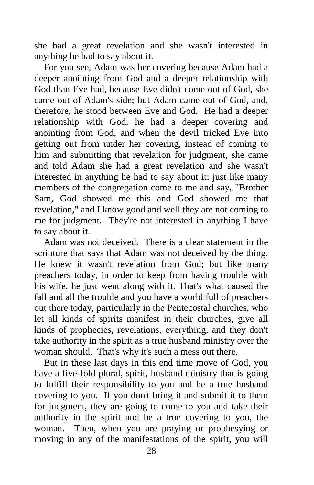she had a great revelation and she wasn't interested in anything he had to say about it.

 For you see, Adam was her covering because Adam had a deeper anointing from God and a deeper relationship with God than Eve had, because Eve didn't come out of God, she came out of Adam's side; but Adam came out of God, and, therefore, he stood between Eve and God. He had a deeper relationship with God, he had a deeper covering and anointing from God, and when the devil tricked Eve into getting out from under her covering, instead of coming to him and submitting that revelation for judgment, she came and told Adam she had a great revelation and she wasn't interested in anything he had to say about it; just like many members of the congregation come to me and say, "Brother Sam, God showed me this and God showed me that revelation," and I know good and well they are not coming to me for judgment. They're not interested in anything I have to say about it.

 Adam was not deceived. There is a clear statement in the scripture that says that Adam was not deceived by the thing. He knew it wasn't revelation from God; but like many preachers today, in order to keep from having trouble with his wife, he just went along with it. That's what caused the fall and all the trouble and you have a world full of preachers out there today, particularly in the Pentecostal churches, who let all kinds of spirits manifest in their churches, give all kinds of prophecies, revelations, everything, and they don't take authority in the spirit as a true husband ministry over the woman should. That's why it's such a mess out there.

 But in these last days in this end time move of God, you have a five-fold plural, spirit, husband ministry that is going to fulfill their responsibility to you and be a true husband covering to you. If you don't bring it and submit it to them for judgment, they are going to come to you and take their authority in the spirit and be a true covering to you, the woman. Then, when you are praying or prophesying or moving in any of the manifestations of the spirit, you will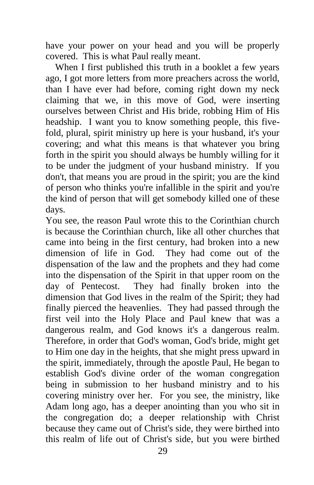have your power on your head and you will be properly covered. This is what Paul really meant.

When I first published this truth in a booklet a few years ago, I got more letters from more preachers across the world, than I have ever had before, coming right down my neck claiming that we, in this move of God, were inserting ourselves between Christ and His bride, robbing Him of His headship. I want you to know something people, this fivefold, plural, spirit ministry up here is your husband, it's your covering; and what this means is that whatever you bring forth in the spirit you should always be humbly willing for it to be under the judgment of your husband ministry. If you don't, that means you are proud in the spirit; you are the kind of person who thinks you're infallible in the spirit and you're the kind of person that will get somebody killed one of these days.

You see, the reason Paul wrote this to the Corinthian church is because the Corinthian church, like all other churches that came into being in the first century, had broken into a new dimension of life in God. They had come out of the dispensation of the law and the prophets and they had come into the dispensation of the Spirit in that upper room on the day of Pentecost. They had finally broken into the dimension that God lives in the realm of the Spirit; they had finally pierced the heavenlies. They had passed through the first veil into the Holy Place and Paul knew that was a dangerous realm, and God knows it's a dangerous realm. Therefore, in order that God's woman, God's bride, might get to Him one day in the heights, that she might press upward in the spirit, immediately, through the apostle Paul, He began to establish God's divine order of the woman congregation being in submission to her husband ministry and to his covering ministry over her. For you see, the ministry, like Adam long ago, has a deeper anointing than you who sit in the congregation do; a deeper relationship with Christ because they came out of Christ's side, they were birthed into this realm of life out of Christ's side, but you were birthed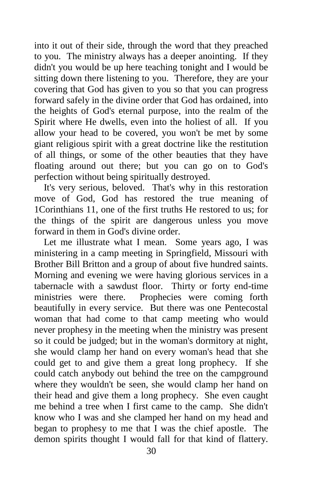into it out of their side, through the word that they preached to you. The ministry always has a deeper anointing. If they didn't you would be up here teaching tonight and I would be sitting down there listening to you. Therefore, they are your covering that God has given to you so that you can progress forward safely in the divine order that God has ordained, into the heights of God's eternal purpose, into the realm of the Spirit where He dwells, even into the holiest of all. If you allow your head to be covered, you won't be met by some giant religious spirit with a great doctrine like the restitution of all things, or some of the other beauties that they have floating around out there; but you can go on to God's perfection without being spiritually destroyed.

 It's very serious, beloved. That's why in this restoration move of God, God has restored the true meaning of 1Corinthians 11, one of the first truths He restored to us; for the things of the spirit are dangerous unless you move forward in them in God's divine order.

 Let me illustrate what I mean. Some years ago, I was ministering in a camp meeting in Springfield, Missouri with Brother Bill Britton and a group of about five hundred saints. Morning and evening we were having glorious services in a tabernacle with a sawdust floor. Thirty or forty end-time ministries were there. Prophecies were coming forth beautifully in every service. But there was one Pentecostal woman that had come to that camp meeting who would never prophesy in the meeting when the ministry was present so it could be judged; but in the woman's dormitory at night, she would clamp her hand on every woman's head that she could get to and give them a great long prophecy. If she could catch anybody out behind the tree on the campground where they wouldn't be seen, she would clamp her hand on their head and give them a long prophecy. She even caught me behind a tree when I first came to the camp. She didn't know who I was and she clamped her hand on my head and began to prophesy to me that I was the chief apostle. The demon spirits thought I would fall for that kind of flattery.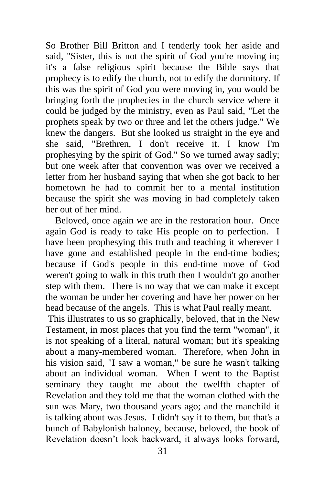So Brother Bill Britton and I tenderly took her aside and said, "Sister, this is not the spirit of God you're moving in; it's a false religious spirit because the Bible says that prophecy is to edify the church, not to edify the dormitory. If this was the spirit of God you were moving in, you would be bringing forth the prophecies in the church service where it could be judged by the ministry, even as Paul said, "Let the prophets speak by two or three and let the others judge." We knew the dangers. But she looked us straight in the eye and she said, "Brethren, I don't receive it. I know I'm prophesying by the spirit of God." So we turned away sadly; but one week after that convention was over we received a letter from her husband saying that when she got back to her hometown he had to commit her to a mental institution because the spirit she was moving in had completely taken her out of her mind.

 Beloved, once again we are in the restoration hour. Once again God is ready to take His people on to perfection. I have been prophesying this truth and teaching it wherever I have gone and established people in the end-time bodies; because if God's people in this end-time move of God weren't going to walk in this truth then I wouldn't go another step with them. There is no way that we can make it except the woman be under her covering and have her power on her head because of the angels. This is what Paul really meant.

This illustrates to us so graphically, beloved, that in the New Testament, in most places that you find the term "woman", it is not speaking of a literal, natural woman; but it's speaking about a many-membered woman. Therefore, when John in his vision said, "I saw a woman," be sure he wasn't talking about an individual woman. When I went to the Baptist seminary they taught me about the twelfth chapter of Revelation and they told me that the woman clothed with the sun was Mary, two thousand years ago; and the manchild it is talking about was Jesus. I didn't say it to them, but that's a bunch of Babylonish baloney, because, beloved, the book of Revelation doesn't look backward, it always looks forward,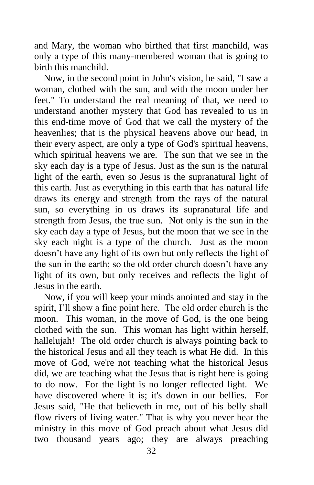and Mary, the woman who birthed that first manchild, was only a type of this many-membered woman that is going to birth this manchild.

 Now, in the second point in John's vision, he said, "I saw a woman, clothed with the sun, and with the moon under her feet." To understand the real meaning of that, we need to understand another mystery that God has revealed to us in this end-time move of God that we call the mystery of the heavenlies; that is the physical heavens above our head, in their every aspect, are only a type of God's spiritual heavens, which spiritual heavens we are. The sun that we see in the sky each day is a type of Jesus. Just as the sun is the natural light of the earth, even so Jesus is the supranatural light of this earth. Just as everything in this earth that has natural life draws its energy and strength from the rays of the natural sun, so everything in us draws its supranatural life and strength from Jesus, the true sun. Not only is the sun in the sky each day a type of Jesus, but the moon that we see in the sky each night is a type of the church. Just as the moon doesn't have any light of its own but only reflects the light of the sun in the earth; so the old order church doesn't have any light of its own, but only receives and reflects the light of Jesus in the earth.

 Now, if you will keep your minds anointed and stay in the spirit, I'll show a fine point here. The old order church is the moon. This woman, in the move of God, is the one being clothed with the sun. This woman has light within herself, hallelujah! The old order church is always pointing back to the historical Jesus and all they teach is what He did. In this move of God, we're not teaching what the historical Jesus did, we are teaching what the Jesus that is right here is going to do now. For the light is no longer reflected light. We have discovered where it is; it's down in our bellies. For Jesus said, "He that believeth in me, out of his belly shall flow rivers of living water." That is why you never hear the ministry in this move of God preach about what Jesus did two thousand years ago; they are always preaching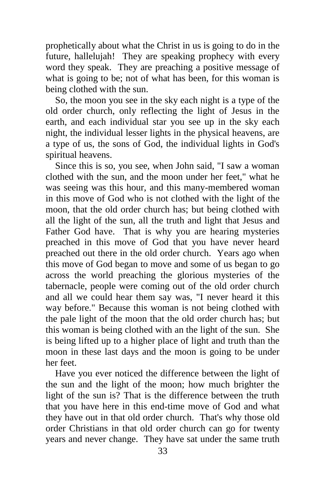prophetically about what the Christ in us is going to do in the future, hallelujah! They are speaking prophecy with every word they speak. They are preaching a positive message of what is going to be; not of what has been, for this woman is being clothed with the sun.

 So, the moon you see in the sky each night is a type of the old order church, only reflecting the light of Jesus in the earth, and each individual star you see up in the sky each night, the individual lesser lights in the physical heavens, are a type of us, the sons of God, the individual lights in God's spiritual heavens.

 Since this is so, you see, when John said, "I saw a woman clothed with the sun, and the moon under her feet," what he was seeing was this hour, and this many-membered woman in this move of God who is not clothed with the light of the moon, that the old order church has; but being clothed with all the light of the sun, all the truth and light that Jesus and Father God have. That is why you are hearing mysteries preached in this move of God that you have never heard preached out there in the old order church. Years ago when this move of God began to move and some of us began to go across the world preaching the glorious mysteries of the tabernacle, people were coming out of the old order church and all we could hear them say was, "I never heard it this way before." Because this woman is not being clothed with the pale light of the moon that the old order church has; but this woman is being clothed with an the light of the sun. She is being lifted up to a higher place of light and truth than the moon in these last days and the moon is going to be under her feet.

 Have you ever noticed the difference between the light of the sun and the light of the moon; how much brighter the light of the sun is? That is the difference between the truth that you have here in this end-time move of God and what they have out in that old order church. That's why those old order Christians in that old order church can go for twenty years and never change. They have sat under the same truth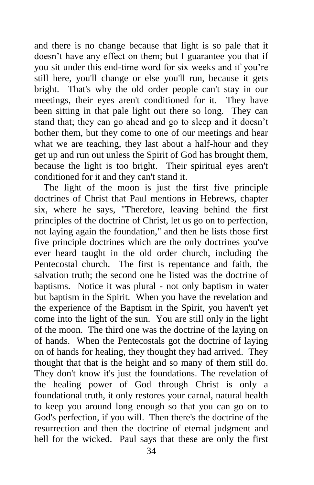and there is no change because that light is so pale that it doesn't have any effect on them; but I guarantee you that if you sit under this end-time word for six weeks and if you're still here, you'll change or else you'll run, because it gets bright. That's why the old order people can't stay in our meetings, their eyes aren't conditioned for it. They have been sitting in that pale light out there so long. They can stand that; they can go ahead and go to sleep and it doesn't bother them, but they come to one of our meetings and hear what we are teaching, they last about a half-hour and they get up and run out unless the Spirit of God has brought them, because the light is too bright. Their spiritual eyes aren't conditioned for it and they can't stand it.

 The light of the moon is just the first five principle doctrines of Christ that Paul mentions in Hebrews, chapter six, where he says, "Therefore, leaving behind the first principles of the doctrine of Christ, let us go on to perfection, not laying again the foundation," and then he lists those first five principle doctrines which are the only doctrines you've ever heard taught in the old order church, including the Pentecostal church. The first is repentance and faith, the salvation truth; the second one he listed was the doctrine of baptisms. Notice it was plural - not only baptism in water but baptism in the Spirit. When you have the revelation and the experience of the Baptism in the Spirit, you haven't yet come into the light of the sun. You are still only in the light of the moon. The third one was the doctrine of the laying on of hands. When the Pentecostals got the doctrine of laying on of hands for healing, they thought they had arrived. They thought that that is the height and so many of them still do. They don't know it's just the foundations. The revelation of the healing power of God through Christ is only a foundational truth, it only restores your carnal, natural health to keep you around long enough so that you can go on to God's perfection, if you will. Then there's the doctrine of the resurrection and then the doctrine of eternal judgment and hell for the wicked. Paul says that these are only the first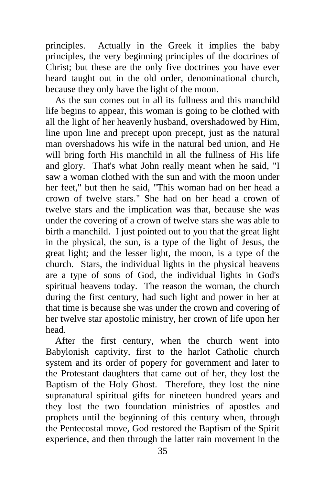principles. Actually in the Greek it implies the baby principles, the very beginning principles of the doctrines of Christ; but these are the only five doctrines you have ever heard taught out in the old order, denominational church, because they only have the light of the moon.

 As the sun comes out in all its fullness and this manchild life begins to appear, this woman is going to be clothed with all the light of her heavenly husband, overshadowed by Him, line upon line and precept upon precept, just as the natural man overshadows his wife in the natural bed union, and He will bring forth His manchild in all the fullness of His life and glory. That's what John really meant when he said, "I saw a woman clothed with the sun and with the moon under her feet," but then he said, "This woman had on her head a crown of twelve stars." She had on her head a crown of twelve stars and the implication was that, because she was under the covering of a crown of twelve stars she was able to birth a manchild. I just pointed out to you that the great light in the physical, the sun, is a type of the light of Jesus, the great light; and the lesser light, the moon, is a type of the church. Stars, the individual lights in the physical heavens are a type of sons of God, the individual lights in God's spiritual heavens today. The reason the woman, the church during the first century, had such light and power in her at that time is because she was under the crown and covering of her twelve star apostolic ministry, her crown of life upon her head.

 After the first century, when the church went into Babylonish captivity, first to the harlot Catholic church system and its order of popery for government and later to the Protestant daughters that came out of her, they lost the Baptism of the Holy Ghost. Therefore, they lost the nine supranatural spiritual gifts for nineteen hundred years and they lost the two foundation ministries of apostles and prophets until the beginning of this century when, through the Pentecostal move, God restored the Baptism of the Spirit experience, and then through the latter rain movement in the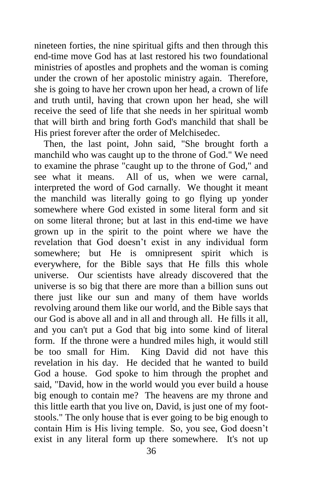nineteen forties, the nine spiritual gifts and then through this end-time move God has at last restored his two foundational ministries of apostles and prophets and the woman is coming under the crown of her apostolic ministry again. Therefore, she is going to have her crown upon her head, a crown of life and truth until, having that crown upon her head, she will receive the seed of life that she needs in her spiritual womb that will birth and bring forth God's manchild that shall be His priest forever after the order of Melchisedec.

 Then, the last point, John said, "She brought forth a manchild who was caught up to the throne of God." We need to examine the phrase "caught up to the throne of God," and see what it means. All of us, when we were carnal, interpreted the word of God carnally. We thought it meant the manchild was literally going to go flying up yonder somewhere where God existed in some literal form and sit on some literal throne; but at last in this end-time we have grown up in the spirit to the point where we have the revelation that God doesn't exist in any individual form somewhere; but He is omnipresent spirit which is everywhere, for the Bible says that He fills this whole universe. Our scientists have already discovered that the universe is so big that there are more than a billion suns out there just like our sun and many of them have worlds revolving around them like our world, and the Bible says that our God is above all and in all and through all. He fills it all, and you can't put a God that big into some kind of literal form. If the throne were a hundred miles high, it would still be too small for Him. King David did not have this revelation in his day. He decided that he wanted to build God a house. God spoke to him through the prophet and said, "David, how in the world would you ever build a house big enough to contain me? The heavens are my throne and this little earth that you live on, David, is just one of my footstools." The only house that is ever going to be big enough to contain Him is His living temple. So, you see, God doesn't exist in any literal form up there somewhere. It's not up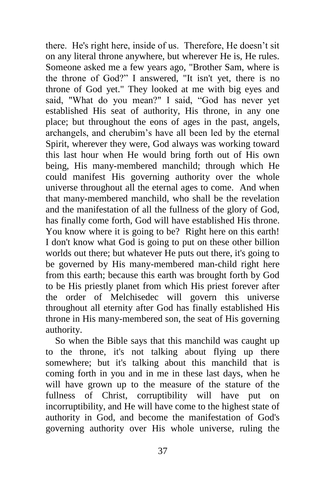there. He's right here, inside of us. Therefore, He doesn't sit on any literal throne anywhere, but wherever He is, He rules. Someone asked me a few years ago, "Brother Sam, where is the throne of God?" I answered, "It isn't yet, there is no throne of God yet." They looked at me with big eyes and said, "What do you mean?" I said, "God has never yet established His seat of authority, His throne, in any one place; but throughout the eons of ages in the past, angels, archangels, and cherubim's have all been led by the eternal Spirit, wherever they were, God always was working toward this last hour when He would bring forth out of His own being, His many-membered manchild; through which He could manifest His governing authority over the whole universe throughout all the eternal ages to come. And when that many-membered manchild, who shall be the revelation and the manifestation of all the fullness of the glory of God, has finally come forth, God will have established His throne. You know where it is going to be? Right here on this earth! I don't know what God is going to put on these other billion worlds out there; but whatever He puts out there, it's going to be governed by His many-membered man-child right here from this earth; because this earth was brought forth by God to be His priestly planet from which His priest forever after the order of Melchisedec will govern this universe throughout all eternity after God has finally established His throne in His many-membered son, the seat of His governing authority.

 So when the Bible says that this manchild was caught up to the throne, it's not talking about flying up there somewhere; but it's talking about this manchild that is coming forth in you and in me in these last days, when he will have grown up to the measure of the stature of the fullness of Christ, corruptibility will have put on incorruptibility, and He will have come to the highest state of authority in God, and become the manifestation of God's governing authority over His whole universe, ruling the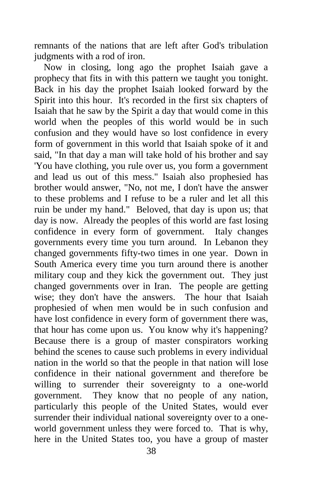remnants of the nations that are left after God's tribulation judgments with a rod of iron.

 Now in closing, long ago the prophet Isaiah gave a prophecy that fits in with this pattern we taught you tonight. Back in his day the prophet Isaiah looked forward by the Spirit into this hour. It's recorded in the first six chapters of Isaiah that he saw by the Spirit a day that would come in this world when the peoples of this world would be in such confusion and they would have so lost confidence in every form of government in this world that Isaiah spoke of it and said, "In that day a man will take hold of his brother and say 'You have clothing, you rule over us, you form a government and lead us out of this mess." Isaiah also prophesied has brother would answer, "No, not me, I don't have the answer to these problems and I refuse to be a ruler and let all this ruin be under my hand." Beloved, that day is upon us; that day is now. Already the peoples of this world are fast losing confidence in every form of government. Italy changes governments every time you turn around. In Lebanon they changed governments fifty-two times in one year. Down in South America every time you turn around there is another military coup and they kick the government out. They just changed governments over in Iran. The people are getting wise; they don't have the answers. The hour that Isaiah prophesied of when men would be in such confusion and have lost confidence in every form of government there was, that hour has come upon us. You know why it's happening? Because there is a group of master conspirators working behind the scenes to cause such problems in every individual nation in the world so that the people in that nation will lose confidence in their national government and therefore be willing to surrender their sovereignty to a one-world government. They know that no people of any nation, particularly this people of the United States, would ever surrender their individual national sovereignty over to a oneworld government unless they were forced to. That is why, here in the United States too, you have a group of master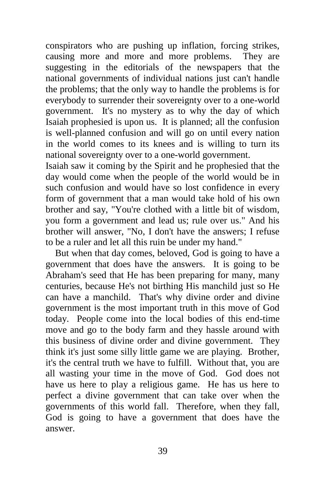conspirators who are pushing up inflation, forcing strikes, causing more and more and more problems. They are suggesting in the editorials of the newspapers that the national governments of individual nations just can't handle the problems; that the only way to handle the problems is for everybody to surrender their sovereignty over to a one-world government. It's no mystery as to why the day of which Isaiah prophesied is upon us. It is planned; all the confusion is well-planned confusion and will go on until every nation in the world comes to its knees and is willing to turn its national sovereignty over to a one-world government.

Isaiah saw it coming by the Spirit and he prophesied that the day would come when the people of the world would be in such confusion and would have so lost confidence in every form of government that a man would take hold of his own brother and say, "You're clothed with a little bit of wisdom, you form a government and lead us; rule over us." And his brother will answer, "No, I don't have the answers; I refuse to be a ruler and let all this ruin be under my hand."

 But when that day comes, beloved, God is going to have a government that does have the answers. It is going to be Abraham's seed that He has been preparing for many, many centuries, because He's not birthing His manchild just so He can have a manchild. That's why divine order and divine government is the most important truth in this move of God today. People come into the local bodies of this end-time move and go to the body farm and they hassle around with this business of divine order and divine government. They think it's just some silly little game we are playing. Brother, it's the central truth we have to fulfill. Without that, you are all wasting your time in the move of God. God does not have us here to play a religious game. He has us here to perfect a divine government that can take over when the governments of this world fall. Therefore, when they fall, God is going to have a government that does have the answer.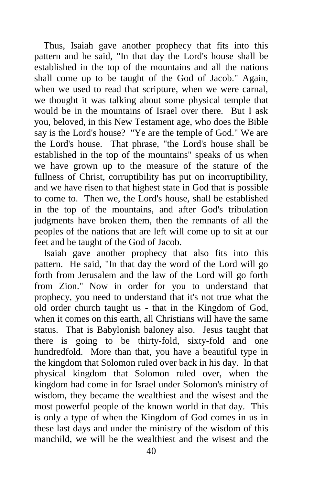Thus, Isaiah gave another prophecy that fits into this pattern and he said, "In that day the Lord's house shall be established in the top of the mountains and all the nations shall come up to be taught of the God of Jacob." Again, when we used to read that scripture, when we were carnal, we thought it was talking about some physical temple that would be in the mountains of Israel over there. But I ask you, beloved, in this New Testament age, who does the Bible say is the Lord's house? "Ye are the temple of God." We are the Lord's house. That phrase, "the Lord's house shall be established in the top of the mountains" speaks of us when we have grown up to the measure of the stature of the fullness of Christ, corruptibility has put on incorruptibility, and we have risen to that highest state in God that is possible to come to. Then we, the Lord's house, shall be established in the top of the mountains, and after God's tribulation judgments have broken them, then the remnants of all the peoples of the nations that are left will come up to sit at our feet and be taught of the God of Jacob.

 Isaiah gave another prophecy that also fits into this pattern. He said, "In that day the word of the Lord will go forth from Jerusalem and the law of the Lord will go forth from Zion." Now in order for you to understand that prophecy, you need to understand that it's not true what the old order church taught us - that in the Kingdom of God, when it comes on this earth, all Christians will have the same status. That is Babylonish baloney also. Jesus taught that there is going to be thirty-fold, sixty-fold and one hundredfold. More than that, you have a beautiful type in the kingdom that Solomon ruled over back in his day. In that physical kingdom that Solomon ruled over, when the kingdom had come in for Israel under Solomon's ministry of wisdom, they became the wealthiest and the wisest and the most powerful people of the known world in that day. This is only a type of when the Kingdom of God comes in us in these last days and under the ministry of the wisdom of this manchild, we will be the wealthiest and the wisest and the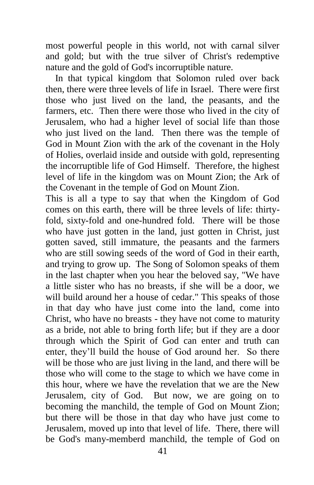most powerful people in this world, not with carnal silver and gold; but with the true silver of Christ's redemptive nature and the gold of God's incorruptible nature.

 In that typical kingdom that Solomon ruled over back then, there were three levels of life in Israel. There were first those who just lived on the land, the peasants, and the farmers, etc. Then there were those who lived in the city of Jerusalem, who had a higher level of social life than those who just lived on the land. Then there was the temple of God in Mount Zion with the ark of the covenant in the Holy of Holies, overlaid inside and outside with gold, representing the incorruptible life of God Himself. Therefore, the highest level of life in the kingdom was on Mount Zion; the Ark of the Covenant in the temple of God on Mount Zion.

This is all a type to say that when the Kingdom of God comes on this earth, there will be three levels of life: thirtyfold, sixty-fold and one-hundred fold. There will be those who have just gotten in the land, just gotten in Christ, just gotten saved, still immature, the peasants and the farmers who are still sowing seeds of the word of God in their earth, and trying to grow up. The Song of Solomon speaks of them in the last chapter when you hear the beloved say, "We have a little sister who has no breasts, if she will be a door, we will build around her a house of cedar." This speaks of those in that day who have just come into the land, come into Christ, who have no breasts - they have not come to maturity as a bride, not able to bring forth life; but if they are a door through which the Spirit of God can enter and truth can enter, they'll build the house of God around her. So there will be those who are just living in the land, and there will be those who will come to the stage to which we have come in this hour, where we have the revelation that we are the New Jerusalem, city of God. But now, we are going on to becoming the manchild, the temple of God on Mount Zion; but there will be those in that day who have just come to Jerusalem, moved up into that level of life. There, there will be God's many-memberd manchild, the temple of God on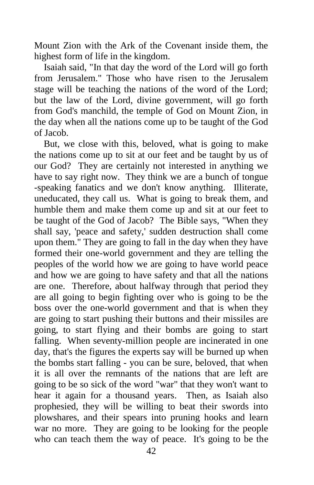Mount Zion with the Ark of the Covenant inside them, the highest form of life in the kingdom.

 Isaiah said, "In that day the word of the Lord will go forth from Jerusalem." Those who have risen to the Jerusalem stage will be teaching the nations of the word of the Lord; but the law of the Lord, divine government, will go forth from God's manchild, the temple of God on Mount Zion, in the day when all the nations come up to be taught of the God of Jacob.

 But, we close with this, beloved, what is going to make the nations come up to sit at our feet and be taught by us of our God? They are certainly not interested in anything we have to say right now. They think we are a bunch of tongue -speaking fanatics and we don't know anything. Illiterate, uneducated, they call us. What is going to break them, and humble them and make them come up and sit at our feet to be taught of the God of Jacob? The Bible says, "When they shall say, 'peace and safety,' sudden destruction shall come upon them." They are going to fall in the day when they have formed their one-world government and they are telling the peoples of the world how we are going to have world peace and how we are going to have safety and that all the nations are one. Therefore, about halfway through that period they are all going to begin fighting over who is going to be the boss over the one-world government and that is when they are going to start pushing their buttons and their missiles are going, to start flying and their bombs are going to start falling. When seventy-million people are incinerated in one day, that's the figures the experts say will be burned up when the bombs start falling - you can be sure, beloved, that when it is all over the remnants of the nations that are left are going to be so sick of the word "war" that they won't want to hear it again for a thousand years. Then, as Isaiah also prophesied, they will be willing to beat their swords into plowshares, and their spears into pruning hooks and learn war no more. They are going to be looking for the people who can teach them the way of peace. It's going to be the